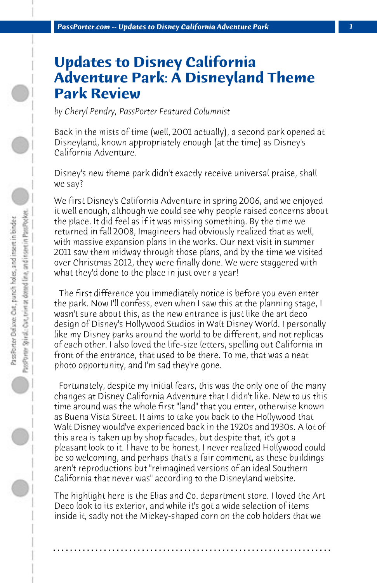## **Updates to Disney California Adventure Park: A Disneyland Theme Park Review**

*by Cheryl Pendry, PassPorter Featured Columnist*

Back in the mists of time (well, 2001 actually), a second park opened at Disneyland, known appropriately enough (at the time) as Disney's California Adventure.

Disney's new theme park didn't exactly receive universal praise, shall we say?

We first Disney's California Adventure in spring 2006, and we enjoyed it well enough, although we could see why people raised concerns about the place. It did feel as if it was missing something. By the time we returned in fall 2008, Imagineers had obviously realized that as well, with massive expansion plans in the works. Our next visit in summer 2011 saw them midway through those plans, and by the time we visited over Christmas 2012, they were finally done. We were staggered with what they'd done to the place in just over a year!

 The first difference you immediately notice is before you even enter the park. Now I'll confess, even when I saw this at the planning stage, I wasn't sure about this, as the new entrance is just like the art deco design of Disney's Hollywood Studios in Walt Disney World. I personally like my Disney parks around the world to be different, and not replicas of each other. I also loved the life-size letters, spelling out California in front of the entrance, that used to be there. To me, that was a neat photo opportunity, and I'm sad they're gone.

 Fortunately, despite my initial fears, this was the only one of the many changes at Disney California Adventure that I didn't like. New to us this time around was the whole first "land" that you enter, otherwise known as Buena Vista Street. It aims to take you back to the Hollywood that Walt Disney would've experienced back in the 1920s and 1930s. A lot of this area is taken up by shop facades, but despite that, it's got a pleasant look to it. I have to be honest, I never realized Hollywood could be so welcoming, and perhaps that's a fair comment, as these buildings aren't reproductions but "reimagined versions of an ideal Southern California that never was" according to the Disneyland website.

The highlight here is the Elias and Co. department store. I loved the Art Deco look to its exterior, and while it's got a wide selection of items inside it, sadly not the Mickey-shaped corn on the cob holders that we

**. . . . . . . . . . . . . . . . . . . . . . . . . . . . . . . . . . . . . . . . . . . . . . . . . . . . . . . . . . . . . . . . . .**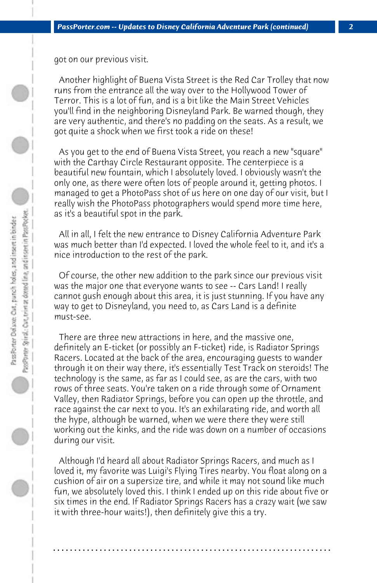got on our previous visit.

 Another highlight of Buena Vista Street is the Red Car Trolley that now runs from the entrance all the way over to the Hollywood Tower of Terror. This is a lot of fun, and is a bit like the Main Street Vehicles you'll find in the neighboring Disneyland Park. Be warned though, they are very authentic, and there's no padding on the seats. As a result, we got quite a shock when we first took a ride on these!

 As you get to the end of Buena Vista Street, you reach a new "square" with the Carthay Circle Restaurant opposite. The centerpiece is a beautiful new fountain, which I absolutely loved. I obviously wasn't the only one, as there were often lots of people around it, getting photos. I managed to get a PhotoPass shot of us here on one day of our visit, but I really wish the PhotoPass photographers would spend more time here, as it's a beautiful spot in the park.

 All in all, I felt the new entrance to Disney California Adventure Park was much better than I'd expected. I loved the whole feel to it, and it's a nice introduction to the rest of the park.

 Of course, the other new addition to the park since our previous visit was the major one that everyone wants to see -- Cars Land! I really cannot gush enough about this area, it is just stunning. If you have any way to get to Disneyland, you need to, as Cars Land is a definite must-see.

 There are three new attractions in here, and the massive one, definitely an E-ticket (or possibly an F-ticket) ride, is Radiator Springs Racers. Located at the back of the area, encouraging guests to wander through it on their way there, it's essentially Test Track on steroids! The technology is the same, as far as I could see, as are the cars, with two rows of three seats. You're taken on a ride through some of Ornament Valley, then Radiator Springs, before you can open up the throttle, and race against the car next to you. It's an exhilarating ride, and worth all the hype, although be warned, when we were there they were still working out the kinks, and the ride was down on a number of occasions during our visit.

 Although I'd heard all about Radiator Springs Racers, and much as I loved it, my favorite was Luigi's Flying Tires nearby. You float along on a cushion of air on a supersize tire, and while it may not sound like much fun, we absolutely loved this. I think I ended up on this ride about five or six times in the end. If Radiator Springs Racers has a crazy wait (we saw it with three-hour waits!), then definitely give this a try.

**. . . . . . . . . . . . . . . . . . . . . . . . . . . . . . . . . . . . . . . . . . . . . . . . . . . . . . . . . . . . . . . . . .**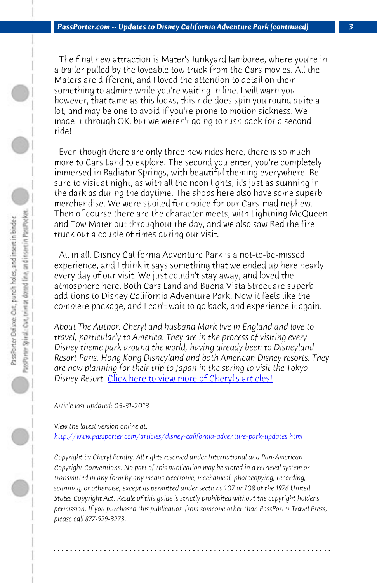*PassPorter.com -- Updates to Disney California Adventure Park (continued) 3*

 The final new attraction is Mater's Junkyard Jamboree, where you're in a trailer pulled by the loveable tow truck from the Cars movies. All the Maters are different, and I loved the attention to detail on them, something to admire while you're waiting in line. I will warn you however, that tame as this looks, this ride does spin you round quite a lot, and may be one to avoid if you're prone to motion sickness. We made it through OK, but we weren't going to rush back for a second

 Even though there are only three new rides here, there is so much more to Cars Land to explore. The second you enter, you're completely immersed in Radiator Springs, with beautiful theming everywhere. Be sure to visit at night, as with all the neon lights, it's just as stunning in the dark as during the daytime. The shops here also have some superb merchandise. [We were spoiled for choice for our Cars-ma](http://www.passporter.com/articles/cheryl-pendry-featured-columnist.asp)d nephew. Then of course there are the character meets, with Lightning McQueen and Tow Mater out throughout the day, and we also saw Red the fire truck out a couple of times during our visit.

 All in all, Disney California Adventure Park is a not-to-be-missed [experience, and I think it says something that we ended up here n](http://www.passporter.com/articles/disney-california-adventure-park-updates.php)early every day of our visit. We just couldn't stay away, and loved the atmosphere here. Both Cars Land and Buena Vista Street are superb additions to Disney California Adventure Park. Now it feels like the complete package, and I can't wait to go back, and experience it again.

*About The Author: Cheryl and husband Mark live in England and love to travel, particularly to America. They are in the process of visiting every Disney theme park around the world, having already been to Disneyland Resort Paris, Hong Kong Disneyland and both American Disney resorts. They are now planning for their trip to Japan in the spring to visit the Tokyo Disney Resort.* Click here to view more of Cheryl's articles!

*Article last updated: 05-31-2013*

*View the latest version online at: http://www.passporter.com/articles/disney-california-adventure-park-updates.html*

*Copyright by Cheryl Pendry. All rights reserved under International and Pan-American Copyright Conventions. No part of this publication may be stored in a retrieval system or transmitted in any form by any means electronic, mechanical, photocopying, recording, scanning, or otherwise, except as permitted under sections 107 or 108 of the 1976 United States Copyright Act. Resale of this guide is strictly prohibited without the copyright holder's permission. If you purchased this publication from someone other than PassPorter Travel Press, please call 877-929-3273.*

**. . . . . . . . . . . . . . . . . . . . . . . . . . . . . . . . . . . . . . . . . . . . . . . . . . . . . . . . . . . . . . . . . .**

ride!